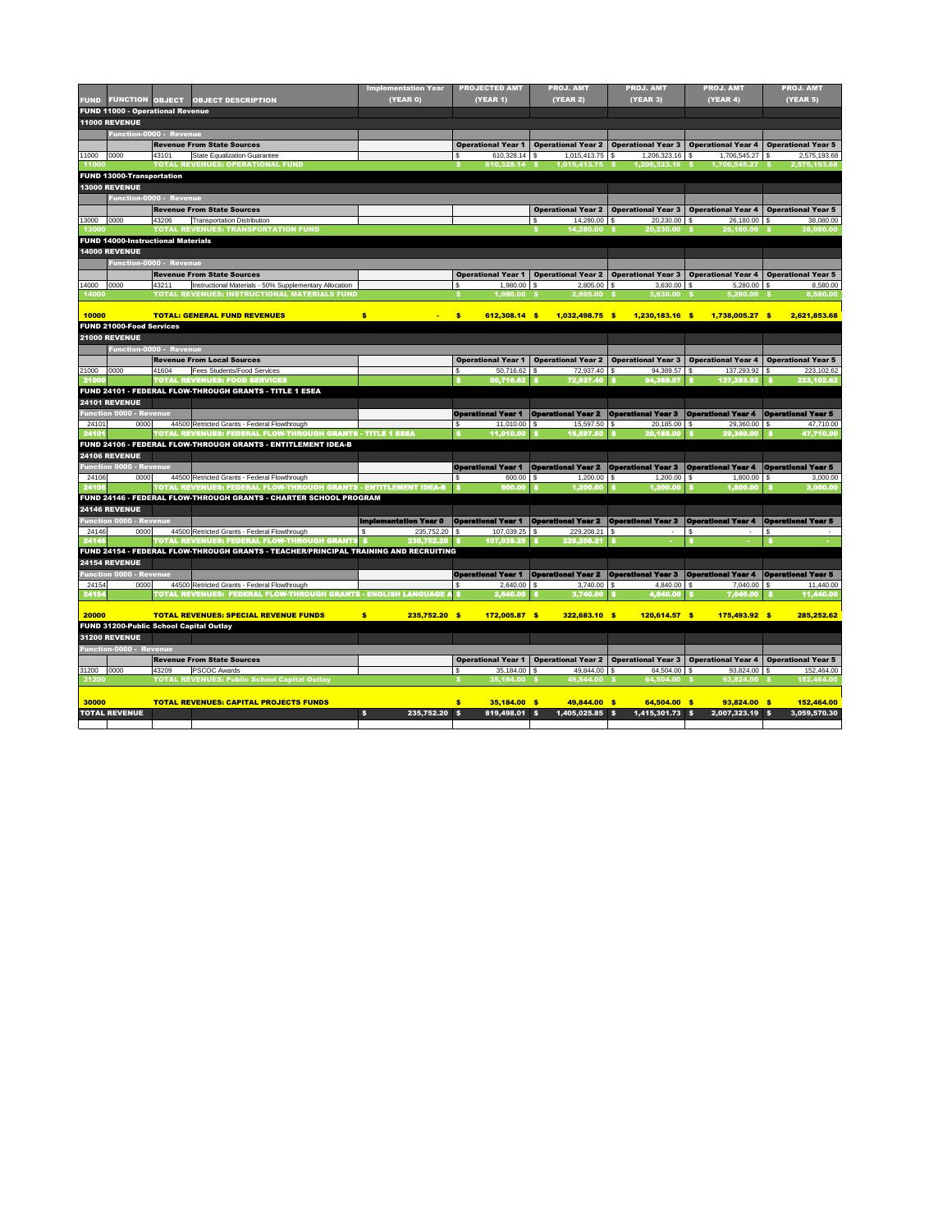|              |                                                |       |                                                                                      | <b>Implementation Year</b>   | <b>PROJECTED AMT</b>                                                                                          | <b>PROJ. AMT</b>                                                                  | <b>PROJ. AMT</b>          | <b>PROJ. AMT</b>                                                                         | <b>PROJ. AMT</b>          |
|--------------|------------------------------------------------|-------|--------------------------------------------------------------------------------------|------------------------------|---------------------------------------------------------------------------------------------------------------|-----------------------------------------------------------------------------------|---------------------------|------------------------------------------------------------------------------------------|---------------------------|
| <b>FUND</b>  | <b>FUNCTION OBJECT</b>                         |       | <b>OBJECT DESCRIPTION</b>                                                            | (YEAR 0)                     | <b>(YEAR 1)</b>                                                                                               | (YEAR 2)                                                                          | <b>(YEAR 3)</b>           | (YEAR 4)                                                                                 | (YEAR 5)                  |
|              | <b>FUND 11000 - Operational Revenue</b>        |       |                                                                                      |                              |                                                                                                               |                                                                                   |                           |                                                                                          |                           |
|              | <b>11000 REVENUE</b>                           |       |                                                                                      |                              |                                                                                                               |                                                                                   |                           |                                                                                          |                           |
|              | Function-0000 - Revenue                        |       |                                                                                      |                              |                                                                                                               |                                                                                   |                           |                                                                                          |                           |
|              |                                                |       | <b>Revenue From State Sources</b>                                                    |                              | <b>Operational Year 1</b>                                                                                     | Operational Year 2   Operational Year 3   Operational Year 4   Operational Year 5 |                           |                                                                                          |                           |
| 11000        | 0000                                           | 43101 | State Equalization Guarantee                                                         |                              | $610,328.14$ \$                                                                                               | $1,015,413.75$ \$                                                                 | $1,206,323.16$ \\$        | $1,706,545.27$ \$                                                                        | 2,575,193.68              |
| 11000        |                                                |       | <b>TOTAL REVENUES: OPERATIONAL FUND</b>                                              |                              | 610,328.14 \$                                                                                                 | 1,015,413.75 \$                                                                   | 1,206,323.16 \$           | 1,706,545.27 \$                                                                          | 2,575,193.68              |
|              | <b>FUND 13000-Transportation</b>               |       |                                                                                      |                              |                                                                                                               |                                                                                   |                           |                                                                                          |                           |
|              | <b>13000 REVENUE</b>                           |       |                                                                                      |                              |                                                                                                               |                                                                                   |                           |                                                                                          |                           |
|              | <b>Function-0000 - Revenue</b>                 |       |                                                                                      |                              |                                                                                                               |                                                                                   |                           |                                                                                          |                           |
|              |                                                |       | <b>Revenue From State Sources</b>                                                    |                              |                                                                                                               | <b>Operational Year 2</b>                                                         |                           | Operational Year 3   Operational Year 4   Operational Year 5                             |                           |
| 13000        | 0000                                           | 43206 | <b>Transportation Distribution</b>                                                   |                              |                                                                                                               | $14,280.00$ \ \$                                                                  | $20,230.00$ \$            | $26,180.00$ \$                                                                           | 38,080.00                 |
| 13000        |                                                |       | <b>TOTAL REVENUES: TRANSPORTATION FUND</b>                                           |                              |                                                                                                               | 14,280.00 \$                                                                      | 20,230.00 \$              | 26,180.00 \$                                                                             | 38,080.00                 |
|              | <b>FUND 14000-Instructional Materials</b>      |       |                                                                                      |                              |                                                                                                               |                                                                                   |                           |                                                                                          |                           |
|              | <b>14000 REVENUE</b>                           |       |                                                                                      |                              |                                                                                                               |                                                                                   |                           |                                                                                          |                           |
|              | <b>Function-0000 - Revenue</b>                 |       |                                                                                      |                              |                                                                                                               |                                                                                   |                           |                                                                                          |                           |
|              |                                                |       | <b>Revenue From State Sources</b>                                                    |                              | <b>Operational Year 1</b>                                                                                     |                                                                                   |                           | <b>Operational Year 2</b>   Operational Year 3   Operational Year 4   Operational Year 5 |                           |
| 14000        | 0000                                           | 43211 | Instructional Materials - 50% Supplementary Allocation                               |                              | $1,980.00$ \$<br>\$.                                                                                          | $2,805.00$ \$                                                                     | $3,630.00$ \$             | $5,280.00$ \$                                                                            | 8,580.00                  |
| 14000        |                                                |       | <b>TOTAL REVENUES: INSTRUCTIONAL MATERIALS FUND</b>                                  |                              | 1,980.00 \$                                                                                                   | 2,805.00 \$                                                                       | $3,630.00$ \$             | $5,280.00$ \$                                                                            | 8,580.00                  |
|              |                                                |       |                                                                                      |                              |                                                                                                               |                                                                                   |                           |                                                                                          |                           |
| 10000        |                                                |       | <b>TOTAL: GENERAL FUND REVENUES</b>                                                  | \$<br>$\sim$                 | $\frac{1}{2}$<br>612,308.14 \$                                                                                | 1,032,498.75 \$                                                                   | 1,230,183.16 \$           | 1,738,005.27 \$                                                                          | 2,621,853.68              |
|              | <b>FUND 21000-Food Services</b>                |       |                                                                                      |                              |                                                                                                               |                                                                                   |                           |                                                                                          |                           |
|              | <b>21000 REVENUE</b>                           |       |                                                                                      |                              |                                                                                                               |                                                                                   |                           |                                                                                          |                           |
|              | Function-0000 - Revenue                        |       |                                                                                      |                              |                                                                                                               |                                                                                   |                           |                                                                                          |                           |
|              |                                                |       | <b>Revenue From Local Sources</b>                                                    |                              | <b>Operational Year 1</b>                                                                                     |                                                                                   |                           | Operational Year 2   Operational Year 3   Operational Year 4   Operational Year 5        |                           |
| 21000        | 0000                                           | 41604 | <b>Fees Students/Food Services</b>                                                   |                              | $50,716.62$ \$                                                                                                | 72,937.40 \$                                                                      | 94,389.57 \$              | 137,293.92 \$                                                                            | 223,102.62                |
| 21000        |                                                |       | <b>TOTAL REVENUES: FOOD SERVICES</b>                                                 |                              | 50,716.62                                                                                                     | 72,937.40                                                                         | 94,389.57                 | 137,293.92                                                                               | 223, 102.62               |
|              |                                                |       | FUND 24101 - FEDERAL FLOW-THROUGH GRANTS - TITLE 1 ESEA                              |                              |                                                                                                               |                                                                                   |                           |                                                                                          |                           |
|              | <b>24101 REVENUE</b>                           |       |                                                                                      |                              |                                                                                                               |                                                                                   |                           |                                                                                          |                           |
|              | <b>Function 0000 - Revenue</b>                 |       |                                                                                      |                              | <b>Operational Year 1</b>   Operational Year 2   Operational Year 3   Operational Year 4   Operational Year 5 |                                                                                   |                           |                                                                                          |                           |
| 24101        | 0000                                           |       | 44500 Retricted Grants - Federal Flowthrough                                         |                              | \$.<br>11,010.00                                                                                              | 15,597.50 \$<br>l \$                                                              | $20,185.00$ \$            | $29,360.00$ \$                                                                           | 47,710.00                 |
| 24101        |                                                |       | TOTAL REVENUES: FEDERAL FLOW-THROUGH GRANTS - TITLE 1 ESEA                           |                              | 11,010.00                                                                                                     | 15,597.50                                                                         | 20,185.00                 | 29,360.00                                                                                | 47,710.00                 |
|              |                                                |       | FUND 24106 - FEDERAL FLOW-THROUGH GRANTS - ENTITLEMENT IDEA-B                        |                              |                                                                                                               |                                                                                   |                           |                                                                                          |                           |
|              | <b>24106 REVENUE</b>                           |       |                                                                                      |                              |                                                                                                               |                                                                                   |                           |                                                                                          |                           |
|              | <b>Function 0000 - Revenue</b>                 |       |                                                                                      |                              | <b>Operational Year 1</b>                                                                                     | <b>Operational Year 2</b>                                                         | <b>Operational Year 3</b> | <b>Operational Year 4</b>                                                                | <b>Operational Year 5</b> |
| 24106        | 0000                                           |       | 44500 Retricted Grants - Federal Flowthrough                                         |                              | 600.00                                                                                                        | 1,200.00                                                                          | 1,200.00<br>l \$          | 1,800.00                                                                                 | 3,000.00                  |
| 24106        |                                                |       | TOTAL REVENUES: FEDERAL FLOW-THROUGH GRANTS - ENTITLEMENT IDEA-B                     |                              | 600.00                                                                                                        | 1,200.00                                                                          | 1,200.00                  | 1,800.00                                                                                 | 3,000.00                  |
|              |                                                |       | FUND 24146 - FEDERAL FLOW-THROUGH GRANTS - CHARTER SCHOOL PROGRAM                    |                              |                                                                                                               |                                                                                   |                           |                                                                                          |                           |
|              | <b>24146 REVENUE</b>                           |       |                                                                                      |                              |                                                                                                               |                                                                                   |                           |                                                                                          |                           |
|              | <b>Function 0000 - Revenue</b>                 |       |                                                                                      | <b>Implementation Year 0</b> | <b>Operational Year 1</b>                                                                                     | <b>Operational Year 2</b>                                                         | <b>Operational Year 3</b> | <b>Operational Year 4</b>                                                                | <b>Operational Year 5</b> |
| 24146        | 0000                                           |       | 44500 Retricted Grants - Federal Flowthrough                                         | 235,752.20                   | 107,039.25<br>-\$                                                                                             | 229,208.21   \$<br>- \$                                                           |                           |                                                                                          |                           |
| 24146        |                                                |       | <b>TOTAL REVENUES: FEDERAL FLOW-THROUGH GRANTS</b>                                   | 235,752.20                   | 107,039.25                                                                                                    | 229,208.21                                                                        |                           |                                                                                          |                           |
|              |                                                |       | FUND 24154 - FEDERAL FLOW-THROUGH GRANTS - TEACHER/PRINCIPAL TRAINING AND RECRUITING |                              |                                                                                                               |                                                                                   |                           |                                                                                          |                           |
|              | <b>24154 REVENUE</b>                           |       |                                                                                      |                              |                                                                                                               |                                                                                   |                           |                                                                                          |                           |
|              | <b>Function 0000 - Revenue</b>                 |       |                                                                                      |                              | <b>Operational Year 1</b>                                                                                     | <b>Operational Year 2 Operational Year 3</b>                                      |                           | <b>Operational Year 4</b>                                                                | <b>Operational Year 5</b> |
| 24154        | 0000                                           |       | 44500 Retricted Grants - Federal Flowthrough                                         |                              | 2,640.00                                                                                                      | $3,740.00$ \ \$<br>-\$                                                            | $4,840.00$ \$             | 7,040.00                                                                                 | 11,440.00                 |
| 24154        |                                                |       | TOTAL REVENUES: FEDERAL FLOW-THROUGH GRANTS - ENGLISH LANGUAGE /                     |                              | 2,640.00                                                                                                      | 3,740.00                                                                          | 4,840.00                  | 7,040.00                                                                                 | 11,440.00                 |
|              |                                                |       |                                                                                      |                              |                                                                                                               |                                                                                   |                           |                                                                                          |                           |
| 20000        |                                                |       | <b>TOTAL REVENUES: SPECIAL REVENUE FUNDS</b>                                         | $\bullet$<br>235,752.20 \$   | 172,005.87 \$                                                                                                 | 322,683.10 \$                                                                     | 120,614.57 \$             | 175,493.92 \$                                                                            | 285,252.62                |
|              | <b>FUND 31200-Public School Capital Outlay</b> |       |                                                                                      |                              |                                                                                                               |                                                                                   |                           |                                                                                          |                           |
|              | <b>31200 REVENUE</b>                           |       |                                                                                      |                              |                                                                                                               |                                                                                   |                           |                                                                                          |                           |
|              | <b>Function-0000 - Revenue</b>                 |       |                                                                                      |                              |                                                                                                               |                                                                                   |                           |                                                                                          |                           |
|              |                                                |       | <b>Revenue From State Sources</b>                                                    |                              | <b>Operational Year 1</b>                                                                                     |                                                                                   |                           | <b>Operational Year 2</b>   Operational Year 3   Operational Year 4   Operational Year 5 |                           |
| $31200$ 0000 |                                                | 43209 | <b>PSCOC Awards</b>                                                                  |                              |                                                                                                               |                                                                                   |                           |                                                                                          | 152 464 00                |

| U1200 |                      | , דטבע | TI OUUU MWATUU                                      |               | $0, 107.00$   $\Psi$ | $T$ $\vee$ , $\vee$ $T$ $\vee$ $\vee$ $\vee$ | $V^{\dagger}$ , $V^{\dagger}$ | $0.027.00 + 0.00$ | ו טט.דטד, בעו |
|-------|----------------------|--------|-----------------------------------------------------|---------------|----------------------|----------------------------------------------|-------------------------------|-------------------|---------------|
| 31200 |                      |        | <b>TOTAL REVENUES: Public School Capital Outlay</b> |               | 35.184.00            | 49,844.00 S                                  | 64.504.00 \$                  | 93,824.00         | 152,464.00    |
|       |                      |        |                                                     |               |                      |                                              |                               |                   |               |
| 30000 |                      |        | <b>TOTAL REVENUES: CAPITAL PROJECTS FUNDS</b>       |               | 35.184.00 \$         | 49.844.00 \$                                 | 64.504.00 S                   | 93.824.00 \$      | 152,464.00    |
|       | <b>TOTAL REVENUE</b> |        |                                                     | 235,752.20 \$ | 819,498.01 \$        | $1,405,025.85$ \$                            | $1,415,301.73$ \$             | 2,007,323.19 \$   | 3,059,570.30  |
|       |                      |        |                                                     |               |                      |                                              |                               |                   |               |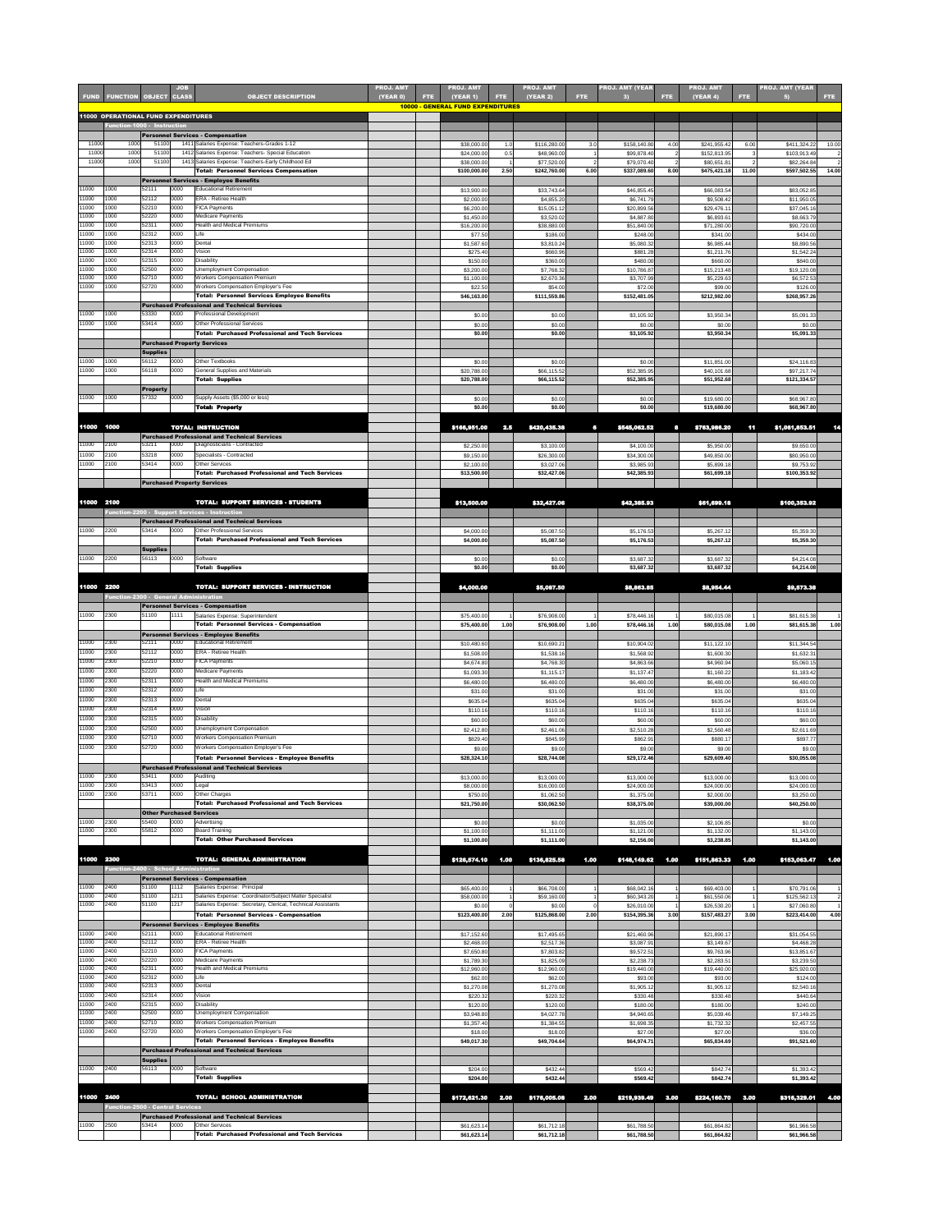| <b>FUND</b>    | <b>FUNCTION OBJECT CLASS</b>               |                                          | <b>JOB</b>   | <b>OBJECT DESCRIPTION</b>                                                                                              | <b>PROJ. AMT</b><br>(YEAR 0) | FTE. | <b>PROJ. AMT</b><br>(YEAR 1)<br><b>10000 - GENERAL FUND EXPENDITURES</b> | <b>FTE</b> | <b>PROJ. AMT</b><br>(YEAR 2) | FTE. | <b>PROJ. AMT (YEAR</b><br>$\vert 3 \vert$ | FTE: | <b>PROJ. AMT</b><br><b>(YEAR 4)</b> | FTE.  | <b>PROJ. AMT (YEAR</b><br>5) | FTE.  |
|----------------|--------------------------------------------|------------------------------------------|--------------|------------------------------------------------------------------------------------------------------------------------|------------------------------|------|--------------------------------------------------------------------------|------------|------------------------------|------|-------------------------------------------|------|-------------------------------------|-------|------------------------------|-------|
|                | <b>11000 OPERATIONAL FUND EXPENDITURES</b> |                                          |              |                                                                                                                        |                              |      |                                                                          |            |                              |      |                                           |      |                                     |       |                              |       |
|                | Function-1000 - Instruction                |                                          |              | <b>Personnel Services - Compensation</b>                                                                               |                              |      |                                                                          |            |                              |      |                                           |      |                                     |       |                              |       |
| 11000          | 1000                                       | 51100                                    |              | 1411 Salaries Expense: Teachers-Grades 1-12                                                                            |                              |      | \$38,000.0                                                               | 1.0        | \$116,280.00                 | 3.0  | \$158,140.80                              | 4.00 | \$241,955.42                        | 6.00  | \$411,324.22                 | 10.00 |
| 11000<br>11000 | 1000<br>1000                               | 51100<br>51100                           |              | 1412 Salaries Expense: Teachers- Special Education<br>1413 Salaries Expense: Teachers-Early Childhood Ed               |                              |      | \$24,000.0<br>\$38,000.0                                                 | 0.5        | \$48,960.00<br>\$77,520.00   |      | \$99,878.40<br>\$79,070.40                |      | \$152,813.95<br>\$80,651.81         |       | \$103,913.49<br>\$82,264.84  |       |
|                |                                            |                                          |              | <b>Total: Personnel Services Compensation</b>                                                                          |                              |      | \$100,000.0                                                              | 2.50       | \$242,760.00                 | 6.00 | \$337,089.60                              | 8.00 | \$475,421.18                        | 11.00 | \$597,502.55                 | 14.00 |
| 11000          | 1000                                       | 52111                                    | 0000         | <b>Personnel Services - Employee Benefits</b><br><b>Educational Retirement</b>                                         |                              |      | \$13,900.00                                                              |            | \$33,743.64                  |      | \$46,855.45                               |      | \$66,083.54                         |       | \$83,052.85                  |       |
| 11000          | 1000                                       | 52112                                    | 0000         | <b>ERA - Retiree Health</b>                                                                                            |                              |      | \$2,000.00                                                               |            | \$4,855.20                   |      | \$6,741.79                                |      | \$9,508.42                          |       | \$11,950.05                  |       |
| 11000<br>11000 | 1000<br>1000                               | 52210<br>52220                           | 0000<br>0000 | <b>FICA Payments</b><br>Medicare Payments                                                                              |                              |      | \$6,200.00<br>\$1,450.00                                                 |            | \$15,051.12<br>\$3,520.02    |      | \$20,899.56<br>\$4,887.80                 |      | \$29,476.11<br>\$6,893.61           |       | \$37,045.16<br>\$8,663.79    |       |
| 11000<br>11000 | 1000<br>1000                               | 52311<br>52312                           | 0000<br>0000 | <b>Health and Medical Premiums</b><br>Life                                                                             |                              |      | \$16,200.0                                                               |            | \$38,880.00                  |      | \$51,840.00                               |      | \$71,280.00                         |       | \$90,720.00                  |       |
| 11000          | 1000                                       | 52313                                    | 0000         | Dental                                                                                                                 |                              |      | \$77.50<br>\$1,587.60                                                    |            | \$186.00<br>\$3,810.24       |      | \$248.00<br>\$5,080.32                    |      | \$341.00<br>\$6,985.44              |       | \$434.00<br>\$8,890.56       |       |
| 11000<br>11000 | 1000<br>1000                               | 52314<br>52315                           | 0000<br>0000 | Vision<br><b>Disability</b>                                                                                            |                              |      | \$275.40                                                                 |            | \$660.96                     |      | \$881.28                                  |      | \$1,211.76                          |       | \$1,542.24                   |       |
| 11000          | 1000                                       | 52500                                    | 0000         | Unemployment Compensation                                                                                              |                              |      | \$150.00<br>\$3,200.0                                                    |            | \$360.00<br>\$7,768.32       |      | \$480.00<br>\$10,786.87                   |      | \$660.00<br>\$15,213.48             |       | \$840.00<br>\$19,120.08      |       |
| 11000<br>11000 | 1000<br>1000                               | 52710<br>52720                           | 0000<br>0000 | <b>Workers Compensation Premium</b><br><b>Workers Compensation Employer's Fee</b>                                      |                              |      | \$1,100.00<br>\$22.50                                                    |            | \$2,670.36<br>\$54.00        |      | \$3,707.99<br>\$72.00                     |      | \$5,229.63<br>\$99.00               |       | \$6,572.53<br>\$126.00       |       |
|                |                                            |                                          |              | Total: Personnel Services Employee Benefits                                                                            |                              |      | \$46,163.00                                                              |            | \$111,559.86                 |      | \$152,481.05                              |      | \$212,982.00                        |       | \$268,957.26                 |       |
| 11000          | 1000                                       | 53330                                    | 0000         | <b>Purchased Professional and Technical Services</b><br><b>Professional Development</b>                                |                              |      |                                                                          |            |                              |      |                                           |      |                                     |       |                              |       |
| 11000          | 1000                                       | 53414                                    | 0000         | <b>Other Professional Services</b>                                                                                     |                              |      | \$0.00<br>\$0.00                                                         |            | \$0.00<br>\$0.00             |      | \$3,105.92<br>\$0.00                      |      | \$3,950.34<br>\$0.00                |       | \$5,091.33<br>\$0.00         |       |
|                |                                            |                                          |              | <b>Total: Purchased Professional and Tech Services</b>                                                                 |                              |      | \$0.00                                                                   |            | \$0.00                       |      | \$3,105.92                                |      | \$3,950.34                          |       | \$5,091.33                   |       |
|                |                                            | Supplies                                 |              | <b>Purchased Property Services</b>                                                                                     |                              |      |                                                                          |            |                              |      |                                           |      |                                     |       |                              |       |
| 11000          | 1000                                       | 56112                                    | 0000         | Other Textbooks                                                                                                        |                              |      | \$0.00                                                                   |            | \$0.00                       |      | \$0.00                                    |      | \$11,851.00                         |       | \$24,116.83                  |       |
| 11000          | 1000                                       | 56118                                    | 0000         | <b>General Supplies and Materials</b><br><b>Total: Supplies</b>                                                        |                              |      | \$20,788.00<br>\$20,788.00                                               |            | \$66,115.52<br>\$66,115.52   |      | \$52,385.95<br>\$52,385.95                |      | \$40,101.68<br>\$51,952.68          |       | \$97,217.74<br>\$121,334.57  |       |
|                |                                            | <b>Property</b>                          |              |                                                                                                                        |                              |      |                                                                          |            |                              |      |                                           |      |                                     |       |                              |       |
| 11000          | 1000                                       | 57332                                    | 0000         | Supply Assets (\$5,000 or less)<br><b>Total: Property</b>                                                              |                              |      | \$0.00<br>\$0.00                                                         |            | \$0.00<br>\$0.00             |      | \$0.00<br>\$0.00                          |      | \$19,680.00<br>\$19,680.00          |       | \$68,967.80<br>\$68,967.80   |       |
|                |                                            |                                          |              |                                                                                                                        |                              |      |                                                                          |            |                              |      |                                           |      |                                     |       |                              |       |
| 11000          | 1000                                       |                                          |              | <b>TOTAL: INSTRUCTION</b>                                                                                              |                              |      | \$166,951.00                                                             | 2.5        | \$420,435.38                 | 6    | \$545,062.52                              | 8    | \$763,986.20                        | 11    | \$1,061,853.51               |       |
| 11000          | 2100                                       | 53211                                    | 0000         | <b>Purchased Professional and Technical Services</b><br>Diagnosticians - Contracted                                    |                              |      | \$2,250.00                                                               |            | \$3,100.00                   |      | \$4,100.00                                |      | \$5,950.00                          |       | \$9,650.00                   |       |
| 11000          | 2100                                       | 53218                                    | 0000         | Specialists - Contracted                                                                                               |                              |      | \$9,150.00                                                               |            | \$26,300.00                  |      | \$34,300.00                               |      | \$49,850.00                         |       | \$80,950.00                  |       |
| 11000          | 2100                                       | 53414                                    | 0000         | <b>Other Services</b><br>Total: Purchased Professional and Tech Services                                               |                              |      | \$2,100.00<br>\$13,500.00                                                |            | \$3,027.06<br>\$32,427.06    |      | \$3,985.93<br>\$42,385.93                 |      | \$5,899.18<br>\$61,699.18           |       | \$9,753.92<br>\$100,353.92   |       |
|                |                                            |                                          |              | <b>Purchased Property Services</b>                                                                                     |                              |      |                                                                          |            |                              |      |                                           |      |                                     |       |                              |       |
|                |                                            |                                          |              |                                                                                                                        |                              |      |                                                                          |            |                              |      |                                           |      |                                     |       |                              |       |
| 11000 2100     |                                            |                                          |              | <b>TOTAL: SUPPORT SERVICES - STUDENTS</b><br>Function-2200 - Support Services - Instruction                            |                              |      | \$13,500.00                                                              |            | \$32,427.06                  |      | \$42,385.93                               |      | \$61,699.18                         |       | \$100,353.92                 |       |
|                |                                            |                                          |              | <b>Purchased Professional and Technical Services</b>                                                                   |                              |      |                                                                          |            |                              |      |                                           |      |                                     |       |                              |       |
| 11000          | 2200                                       | 53414                                    | 0000         | <b>Other Professional Services</b><br>Total: Purchased Professional and Tech Services                                  |                              |      | \$4,000.00<br>\$4,000.00                                                 |            | \$5,087.50<br>\$5,087.50     |      | \$5,176.53<br>\$5,176.53                  |      | \$5,267.12<br>\$5,267.12            |       | \$5,359.30<br>\$5,359.30     |       |
|                |                                            | <b>Supplies</b>                          |              |                                                                                                                        |                              |      |                                                                          |            |                              |      |                                           |      |                                     |       |                              |       |
| 11000          | 2200                                       | 56113                                    | 0000         | Software<br><b>Total: Supplies</b>                                                                                     |                              |      | \$0.00<br>\$0.00                                                         |            | \$0.00<br>\$0.00             |      | \$3,687.32<br>\$3,687.32                  |      | \$3,687.32<br>\$3,687.32            |       | \$4,214.08<br>\$4,214.08     |       |
|                |                                            |                                          |              |                                                                                                                        |                              |      |                                                                          |            |                              |      |                                           |      |                                     |       |                              |       |
| 11000 2200     |                                            |                                          |              | <b>TOTAL: SUPPORT SERVICES - INSTRUCTION</b>                                                                           |                              |      | \$4,000.00                                                               |            | \$5,087.50                   |      | \$8,863.85                                |      | \$8,954.44                          |       | \$9,573.38                   |       |
|                | Function-2300 - General Administration     |                                          |              | <b>Personnel Services - Compensation</b>                                                                               |                              |      |                                                                          |            |                              |      |                                           |      |                                     |       |                              |       |
| 11000          | 2300                                       | 51100                                    | 1111         | Salaries Expense: Superintendent                                                                                       |                              |      | \$75,400.00                                                              |            | \$76,908.00                  |      | \$78,446.16                               |      | \$80,015.08                         |       | \$81,615.38                  |       |
|                |                                            |                                          |              | Total: Personnel Services - Compensation<br><b>Personnel Services - Employee Benefits</b>                              |                              |      | \$75,400.00                                                              | 1.00       | \$76,908.00                  | 1.00 | \$78,446.16                               | 1.00 | \$80,015.08                         | 1.00  | \$81,615.38                  | 1.00  |
| 11000          | 2300                                       | 52111                                    | 0000         | <b>Educational Retirement</b>                                                                                          |                              |      | \$10,480.60                                                              |            | \$10,690.21                  |      | \$10,904.02                               |      | \$11,122.10                         |       | \$11,344.54                  |       |
| 11000<br>11000 | 2300<br>2300                               | 52112<br>52210                           | 0000<br>0000 | <b>ERA - Retiree Health</b><br><b>FICA Payments</b>                                                                    |                              |      | \$1,508.00<br>\$4,674.80                                                 |            | \$1,538.16<br>\$4,768.30     |      | \$1,568.92<br>\$4,863.66                  |      | \$1,600.30<br>\$4,960.94            |       | \$1,632.31<br>\$5,060.15     |       |
| 11000          | 2300                                       | 52220                                    | 0000         | <b>Medicare Payments</b>                                                                                               |                              |      | \$1,093.30                                                               |            | \$1,115.17                   |      | \$1,137.47                                |      | \$1,160.22                          |       | \$1,183.42                   |       |
| 11000<br>11000 | 2300<br>2300                               | 52311<br>52312                           | 0000<br>0000 | <b>Health and Medical Premiums</b><br>Life                                                                             |                              |      | \$6,480.00                                                               |            | \$6,480.00                   |      | \$6,480.00                                |      | \$6,480.00                          |       | \$6,480.00                   |       |
| 11000          | 2300                                       | 52313                                    | 0000         | Dental                                                                                                                 |                              |      | \$31.00<br>\$635.04                                                      |            | \$31.00<br>\$635.04          |      | \$31.00<br>\$635.04                       |      | \$31.00<br>\$635.04                 |       | \$31.00<br>\$635.04          |       |
| 11000          | 2300                                       | 52314                                    | 0000         | Vision                                                                                                                 |                              |      | \$110.16                                                                 |            | \$110.16                     |      | \$110.16                                  |      | \$110.16                            |       | \$110.16                     |       |
| 11000<br>11000 | 2300<br>2300                               | 52315<br>52500                           | 0000<br>0000 | <b>Disability</b><br><b>Unemployment Compensation</b>                                                                  |                              |      | \$60.00<br>\$2,412.80                                                    |            | \$60.00<br>\$2,461.06        |      | \$60.00<br>\$2,510.28                     |      | \$60.00<br>\$2,560.48               |       | \$60.00<br>\$2,611.69        |       |
| 11000          | 2300                                       | 52710                                    | 0000         | <b>Workers Compensation Premium</b>                                                                                    |                              |      | \$829.40                                                                 |            | \$845.99                     |      | \$862.91                                  |      | \$880.17                            |       | \$897.77                     |       |
| 11000          | 2300                                       | 52720                                    | 0000         | <b>Workers Compensation Employer's Fee</b><br>Total: Personnel Services - Employee Benefits                            |                              |      | \$9.00                                                                   |            | \$9.00                       |      | \$9.00                                    |      | \$9.00                              |       | \$9.00                       |       |
|                |                                            |                                          |              | <b>Purchased Professional and Technical Services</b>                                                                   |                              |      | \$28,324.10                                                              |            | \$28,744.08                  |      | \$29,172.46                               |      | \$29,609.40                         |       | \$30,055.08                  |       |
| 11000          | 2300                                       | 53411                                    | 0000         | Auditing                                                                                                               |                              |      | \$13,000.0                                                               |            | \$13,000.00                  |      | \$13,000.00                               |      | \$13,000.00                         |       | \$13,000.00                  |       |
| 11000<br>11000 | 2300<br>2300                               | 53413<br>53711                           | 0000<br>0000 | Legal<br><b>Other Charges</b>                                                                                          |                              |      | \$8,000.00<br>\$750.00                                                   |            | \$16,000.00<br>\$1,062.50    |      | \$24,000.00<br>\$1,375.00                 |      | \$24,000.00<br>\$2,000.00           |       | \$24,000.00<br>\$3,250.00    |       |
|                |                                            |                                          |              | Total: Purchased Professional and Tech Services                                                                        |                              |      | \$21,750.00                                                              |            | \$30,062.50                  |      | \$38,375.00                               |      | \$39,000.00                         |       | \$40,250.00                  |       |
| 11000          | 2300                                       | <b>Other Purchased Services</b><br>55400 | 0000         | Advertising                                                                                                            |                              |      | \$0.00                                                                   |            | \$0.00                       |      | \$1,035.00                                |      | \$2,106.85                          |       | \$0.00                       |       |
| 11000          | 2300                                       | 55812                                    | 0000         | <b>Board Training</b>                                                                                                  |                              |      | \$1,100.00                                                               |            | \$1,111.00                   |      | \$1,121.00                                |      | \$1,132.00                          |       | \$1,143.00                   |       |
|                |                                            |                                          |              | <b>Total: Other Purchased Services</b>                                                                                 |                              |      | \$1,100.00                                                               |            | \$1,111.00                   |      | \$2,156.00                                |      | \$3,238.85                          |       | \$1,143.00                   |       |
| 11000 2300     |                                            |                                          |              | <b>TOTAL: GENERAL ADMINISTRATION</b>                                                                                   |                              |      | \$126,574.10                                                             | 1.00       | \$136,825.58                 | 1.00 | \$148,149.62                              | 1.00 | \$151,863.33                        | 1.00  | \$153,063.47                 | 1.00  |
|                | Function-2400 - School Administration      |                                          |              | <b>Personnel Services - Compensation</b>                                                                               |                              |      |                                                                          |            |                              |      |                                           |      |                                     |       |                              |       |
| 11000          | 2400                                       | 51100                                    | 1112         | Salaries Expense: Principal                                                                                            |                              |      | \$65,400.0                                                               |            | \$66,708.00                  |      | \$68,042.16                               |      | \$69,403.00                         |       | \$70,791.06                  |       |
| 11000<br>11000 | 2400<br>2400                               | 51100<br>51100                           | 1211<br>1217 | Salaries Expense: Coordinator/Subject Matter Specialist<br>Salaries Expense: Secretary, Clerical, Technical Assistants |                              |      | \$58,000.00<br>\$0.00                                                    |            | \$59,160.00<br>\$0.00        |      | \$60,343.20<br>\$26,010.00                |      | \$61,550.06<br>\$26,530.20          |       | \$125,562.13<br>\$27,060.80  |       |
|                |                                            |                                          |              | Total: Personnel Services - Compensation                                                                               |                              |      | \$123,400.00                                                             | 2.00       | \$125,868.00                 | 2.00 | \$154,395.36                              | 3.00 | \$157,483.27                        | 3.00  | \$223,414.00                 | 4.00  |
|                |                                            |                                          |              | <b>Personnel Services - Employee Benefits</b>                                                                          |                              |      |                                                                          |            |                              |      |                                           |      |                                     |       |                              |       |
| 11000<br>11000 | 2400<br>2400                               | 52111<br>52112                           | 0000<br>0000 | <b>Educational Retirement</b><br><b>ERA - Retiree Health</b>                                                           |                              |      | \$17,152.60<br>\$2,468.00                                                |            | \$17,495.65<br>\$2,517.36    |      | \$21,460.96<br>\$3,087.91                 |      | \$21,890.17<br>\$3,149.67           |       | \$31,054.55<br>\$4,468.28    |       |
| 11000          | 2400                                       | 52210                                    | 0000         | <b>FICA Payments</b>                                                                                                   |                              |      | \$7,650.80                                                               |            | \$7,803.82                   |      | \$9,572.51                                |      | \$9,763.96                          |       | \$13,851.67                  |       |
| 11000<br>11000 | 2400<br>2400                               | 52220<br>52311                           | 0000<br>0000 | Medicare Payments<br><b>Health and Medical Premiums</b>                                                                |                              |      | \$1,789.30<br>\$12,960.00                                                |            | \$1,825.09<br>\$12,960.00    |      | \$2,238.73<br>\$19,440.00                 |      | \$2,283.51<br>\$19,440.00           |       | \$3,239.50<br>\$25,920.00    |       |
| 11000<br>11000 | 2400<br>2400                               | 52312<br>52313                           | 0000<br>0000 | Life<br>Dental                                                                                                         |                              |      | \$62.00                                                                  |            | \$62.00                      |      | \$93.00                                   |      | \$93.00                             |       | \$124.00                     |       |
| 11000          | 2400                                       | 52314                                    | 0000         | Vision                                                                                                                 |                              |      | \$1,270.08<br>\$220.32                                                   |            | \$1,270.08<br>\$220.32       |      | \$1,905.12<br>\$330.48                    |      | \$1,905.12<br>\$330.48              |       | \$2,540.16<br>\$440.64       |       |
| 11000          | 2400                                       | 52315                                    | 0000         | <b>Disability</b>                                                                                                      |                              |      | \$120.00                                                                 |            | \$120.00                     |      | \$180.00                                  |      | \$180.00                            |       | \$240.00                     |       |
| 11000<br>11000 | 2400<br>2400                               | 52500<br>52710                           | 0000<br>0000 | <b>Unemployment Compensation</b><br><b>Workers Compensation Premium</b>                                                |                              |      | \$3,948.80<br>\$1,357.40                                                 |            | \$4,027.78<br>\$1,384.55     |      | \$4,940.65<br>\$1,698.35                  |      | \$5,039.46<br>\$1,732.32            |       | \$7,149.25<br>\$2,457.55     |       |
| 11000          | 2400                                       | 52720                                    | 0000         | <b>Workers Compensation Employer's Fee</b>                                                                             |                              |      | \$18.00                                                                  |            | \$18.00                      |      | \$27.00                                   |      | \$27.00                             |       | \$36.00                      |       |
|                |                                            |                                          |              | Total: Personnel Services - Employee Benefits<br><b>Purchased Professional and Technical Services</b>                  |                              |      | \$49,017.30                                                              |            | \$49,704.64                  |      | \$64,974.71                               |      | \$65,834.69                         |       | \$91,521.60                  |       |
|                |                                            | <b>Supplies</b>                          |              |                                                                                                                        |                              |      |                                                                          |            |                              |      |                                           |      |                                     |       |                              |       |
| 11000          | 2400                                       | 56113                                    | 0000         | Software<br><b>Total: Supplies</b>                                                                                     |                              |      | \$204.00<br>\$204.00                                                     |            | \$432.44<br>\$432.44]        |      | \$569.42<br>\$569.42                      |      | \$842.74<br>\$842.74                |       | \$1,393.42<br>\$1,393.42     |       |
|                |                                            |                                          |              |                                                                                                                        |                              |      |                                                                          |            |                              |      |                                           |      |                                     |       |                              |       |

| 11000 2400 |                                    |       |       | TOTAL: SCHOOL ADMINISTRATION A                         |  |              |              |             | \$219,939.49 3.00 \$224,160.70 3.00 | \$316,329.01 4.00 |  |
|------------|------------------------------------|-------|-------|--------------------------------------------------------|--|--------------|--------------|-------------|-------------------------------------|-------------------|--|
|            | Function-2500 - Central Services / |       |       |                                                        |  |              |              |             |                                     |                   |  |
|            |                                    |       |       | <b>Purchased Professional and Technical Services</b>   |  |              |              |             |                                     |                   |  |
| 11000      | 2500                               | 53414 | 1000C | <b>Other Services</b>                                  |  | \$61,623.14  | \$61,712.18  | \$61,788.50 | \$61.864.82                         | \$61,966.58       |  |
|            |                                    |       |       | <b>Total: Purchased Professional and Tech Services</b> |  | \$61,623.14] | \$61,712.18] | \$61,788.50 | \$61,864.82                         | \$61,966.58       |  |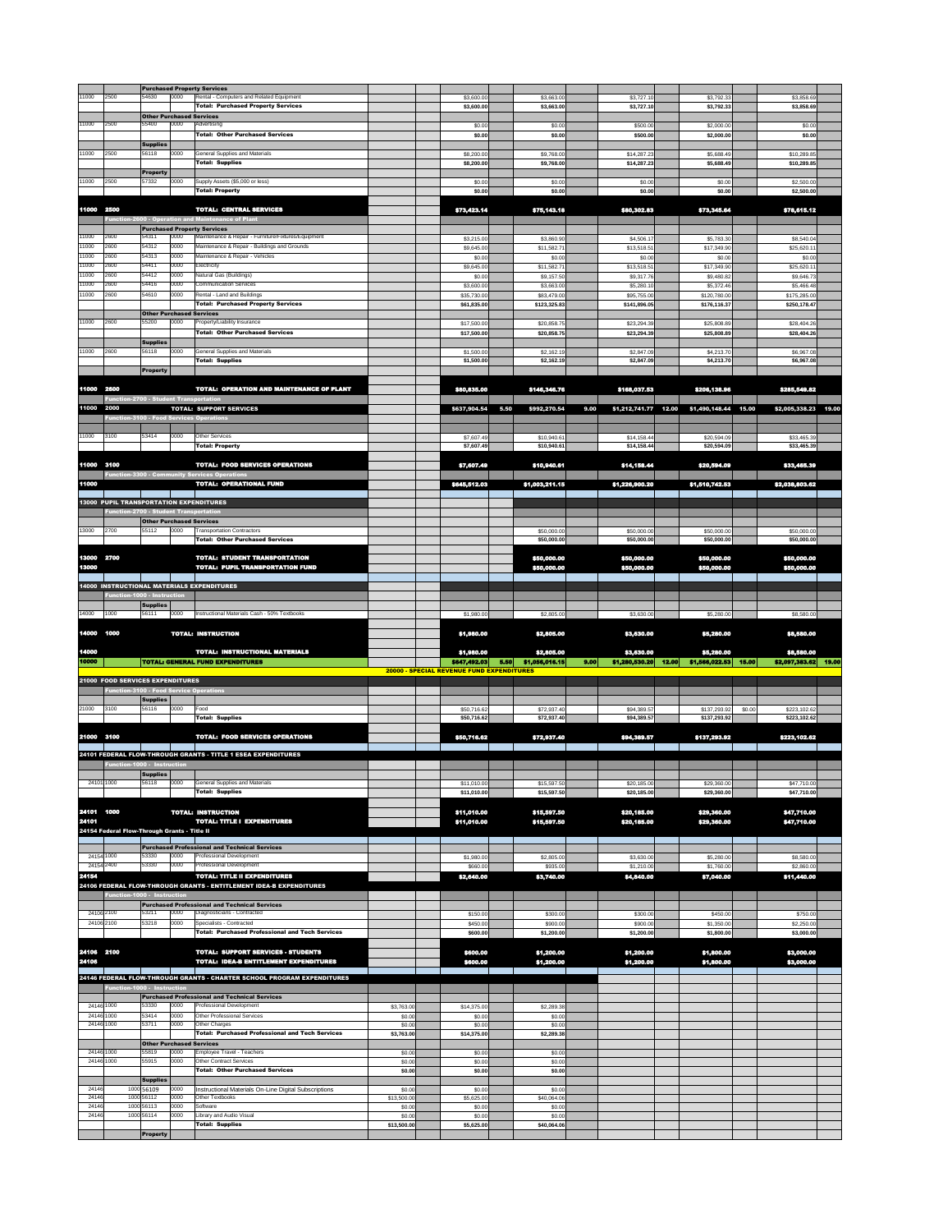| 11000                    | 2500                                          | 54630                                    | 0000         | <b>Purchased Property Services</b><br>Rental - Computers and Related Equipment             |                       | \$3,600.00                                |      | \$3,663.00                   |      | \$3,727.10                   |       | \$3,792.33                          |        | \$3,858.69                         |  |
|--------------------------|-----------------------------------------------|------------------------------------------|--------------|--------------------------------------------------------------------------------------------|-----------------------|-------------------------------------------|------|------------------------------|------|------------------------------|-------|-------------------------------------|--------|------------------------------------|--|
|                          |                                               |                                          |              | <b>Total: Purchased Property Services</b><br><b>Other Purchased Services</b>               |                       | \$3,600.00                                |      | \$3,663.00                   |      | \$3,727.10                   |       | \$3,792.33                          |        | \$3,858.69                         |  |
| 11000                    | 2500                                          | 55400                                    | 0000         | Advertising<br>Total: Other Purchased Services                                             |                       | \$0.00<br>\$0.00                          |      | \$0.00<br>\$0.00             |      | \$500.00<br>\$500.00         |       | \$2,000.00<br>\$2,000.00            |        | \$0.00<br>\$0.00                   |  |
| 11000                    | 2500                                          | <b>Supplies</b><br>56118                 | 0000         | <b>General Supplies and Materials</b>                                                      |                       | \$8,200.00                                |      | \$9,768.00                   |      | \$14,287.23                  |       | \$5,688.49                          |        | \$10,289.85                        |  |
|                          |                                               | <b>Property</b>                          |              | <b>Total: Supplies</b>                                                                     |                       | \$8,200.00                                |      | \$9,768.00                   |      | \$14,287.23                  |       | \$5,688.49                          |        | \$10,289.85                        |  |
| 11000                    | 2500                                          | 57332                                    | 0000         | Supply Assets (\$5,000 or less)<br><b>Total: Property</b>                                  |                       | \$0.00<br>\$0.00                          |      | \$0.00<br>\$0.00             |      | \$0.00<br>\$0.00             |       | \$0.00<br>\$0.00                    |        | \$2,500.00<br>\$2,500.00           |  |
|                          |                                               |                                          |              |                                                                                            |                       |                                           |      |                              |      |                              |       |                                     |        |                                    |  |
| 11000 2500               |                                               |                                          |              | <b>TOTAL: CENTRAL SERVICES</b><br>Function-2600 - Operation and Maintenance of Plant       |                       | \$73,423.14                               |      | \$75,143.18                  |      | \$80,302.83                  |       | \$73,345.64                         |        | \$78,615.12                        |  |
| 11000                    | 2600                                          | 54311                                    | 0000         | <b>Purchased Property Services</b><br>Maintenance & Repair - Furniture/Fixtures/Equipment  |                       | \$3,215.00                                |      | \$3,860.90                   |      | \$4,506.17                   |       | \$5,783.30                          |        | \$8,540.04                         |  |
| 11000<br>11000           | 2600<br>2600                                  | 54312<br>54313                           | 0000<br>0000 | Maintenance & Repair - Buildings and Grounds<br>Maintenance & Repair - Vehicles            |                       | \$9,645.00<br>\$0.00                      |      | \$11,582.71<br>\$0.00        |      | \$13,518.51<br>\$0.00        |       | \$17,349.90<br>\$0.00               |        | \$25,620.11<br>\$0.00              |  |
| 11000<br>11000           | 2600<br>2600                                  | 54411<br>54412                           | 0000<br>0000 | Electricity<br>Natural Gas (Buildings)                                                     |                       | \$9,645.00<br>\$0.00                      |      | \$11,582.71<br>\$9,157.50    |      | \$13,518.51<br>\$9,317.76    |       | \$17,349.90<br>\$9,480.82           |        | \$25,620.11<br>\$9,646.73          |  |
| 11000<br>11000           | 2600<br>2600                                  | 54416<br>54610                           | 0000<br>0000 | <b>Communication Services</b><br>Rental - Land and Buildings                               |                       | \$3,600.00<br>\$35,730.00                 |      | \$3,663.00<br>\$83,479.00    |      | \$5,280.10<br>\$95,755.00    |       | \$5,372.46<br>\$120,780.00          |        | \$5,466.48<br>\$175,285.00         |  |
|                          |                                               | <b>Other Purchased Services</b>          |              | <b>Total: Purchased Property Services</b>                                                  |                       | \$61,835.00                               |      | \$123,325.83                 |      | \$141,896.05                 |       | \$176,116.37                        |        | \$250,178.47                       |  |
| 11000                    | 2600                                          | 55200                                    | 0000         | Property/Liability Insurance                                                               |                       | \$17,500.00                               |      | \$20,858.75                  |      | \$23,294.39                  |       | \$25,808.89                         |        | \$28,404.26                        |  |
|                          |                                               | <b>Supplies</b>                          |              | Total: Other Purchased Services                                                            |                       | \$17,500.00                               |      | \$20,858.75                  |      | \$23,294.39                  |       | \$25,808.89                         |        | \$28,404.26                        |  |
| 11000                    | 2600                                          | 56118                                    | 0000         | <b>General Supplies and Materials</b><br><b>Total: Supplies</b>                            |                       | \$1,500.00<br>\$1,500.00                  |      | \$2,162.19<br>\$2,162.19     |      | \$2,847.09<br>\$2,847.09     |       | \$4,213.70<br>\$4,213.70            |        | \$6,967.08<br>\$6,967.08           |  |
|                          |                                               | <b>Property</b>                          |              |                                                                                            |                       |                                           |      |                              |      |                              |       |                                     |        |                                    |  |
| 11000 2600               | <b>Function-2700 - Student Transportation</b> |                                          |              | <b>TOTAL: OPERATION AND MAINTENANCE OF PLANT</b>                                           |                       | \$80,835.00                               |      | \$146,346.76                 |      | \$168,037.53                 |       | \$206,138.96                        |        | \$285,549.82                       |  |
| 11000 2000               |                                               |                                          |              | <b>TOTAL: SUPPORT SERVICES</b><br><b>Function-3100 - Food Services Operations</b>          |                       | \$637,904.54                              | 5.50 | \$992,270.54                 | 9.00 | \$1,212,741.77 12.00         |       | \$1,490,148.44 15.00                |        | \$2,005,338.23 19.00               |  |
| 11000                    | 3100                                          | 53414                                    | 0000         | <b>Other Services</b>                                                                      |                       | \$7,607.49                                |      | \$10,940.61                  |      | \$14,158.44                  |       | \$20,594.09                         |        | \$33,465.39                        |  |
|                          |                                               |                                          |              | Total: Property                                                                            |                       | \$7,607.49                                |      | \$10,940.61                  |      | \$14,158.44                  |       | \$20,594.09                         |        | \$33,465.39                        |  |
| 11000 3100               |                                               |                                          |              | <b>TOTAL: FOOD SERVICES OPERATIONS</b>                                                     |                       | \$7,607.49                                |      | \$10,940.61                  |      | \$14,158.44                  |       | \$20,594.09                         |        | \$33,465.39                        |  |
| 11000                    |                                               |                                          |              | <b>Function-3300 - Community Services Operations</b><br><b>TOTAL: OPERATIONAL FUND</b>     |                       | \$645,512.03                              |      | \$1,003,211.15               |      | \$1,226,900.20               |       | \$1,510,742.53                      |        | \$2,038,803.62                     |  |
|                          |                                               |                                          |              | <b>13000 PUPIL TRANSPORTATION EXPENDITURES</b>                                             |                       |                                           |      |                              |      |                              |       |                                     |        |                                    |  |
|                          | Function-2700 - Student Transportation        |                                          |              | <b>Other Purchased Services</b>                                                            |                       |                                           |      |                              |      |                              |       |                                     |        |                                    |  |
| 13000                    | 2700                                          | 55112                                    | 0000         | <b>Transportation Contractors</b><br><b>Total: Other Purchased Services</b>                |                       |                                           |      | \$50,000.00<br>\$50,000.00   |      | \$50,000.00<br>\$50,000.00   |       | \$50,000.00<br>\$50,000.00          |        | \$50,000.00<br>\$50,000.00         |  |
| 13000 2700               |                                               |                                          |              | <b>TOTAL: STUDENT TRANSPORTATION</b>                                                       |                       |                                           |      | \$50,000.00                  |      | \$50,000.00                  |       | \$50,000.00                         |        | \$50,000.00                        |  |
| 13000                    |                                               |                                          |              | <b>TOTAL: PUPIL TRANSPORTATION FUND</b>                                                    |                       |                                           |      | \$50,000.00                  |      | \$50,000.00                  |       | \$50,000.00                         |        | \$50,000.00                        |  |
|                          | Function-1000 - Instruction                   |                                          |              | <b>14000 INSTRUCTIONAL MATERIALS EXPENDITURES</b>                                          |                       |                                           |      |                              |      |                              |       |                                     |        |                                    |  |
|                          |                                               | <b>Supplies</b>                          |              |                                                                                            |                       |                                           |      |                              |      |                              |       |                                     |        |                                    |  |
| 14000                    | 1000                                          | 56111                                    | 0000         | Instructional Materials Cash - 50% Textbooks                                               |                       | \$1,980.00                                |      | \$2,805.00                   |      | \$3,630.00                   |       | \$5,280.00                          |        | \$8,580.00                         |  |
|                          |                                               |                                          |              |                                                                                            |                       |                                           |      |                              |      |                              |       |                                     |        |                                    |  |
| 14000                    | 1000                                          |                                          |              | <b>TOTAL: INSTRUCTION</b>                                                                  |                       | \$1,980.00                                |      | \$2,805.00                   |      | \$3,630.00                   |       | \$5,280.00                          |        | \$8,580.00                         |  |
| 14000<br>10000           |                                               |                                          |              | <b>TOTAL: INSTRUCTIONAL MATERIALS</b><br><b>TOTAL: GENERAL FUND EXPENDITURES</b>           |                       | \$1,980.00<br>\$647,492.03                | 5.50 | \$2,805.00<br>\$1,056,016.15 | 9.00 | \$3,630.00<br>\$1,280,530.20 | 12.00 | \$5,280.00<br>$$1,566,022.53$ 15.00 |        | \$8,580.00<br>\$2,097,383.62 19.00 |  |
|                          | 21000 FOOD SERVICES EXPENDITURES              |                                          |              |                                                                                            |                       | 20000 - SPECIAL REVENUE FUND EXPENDITURES |      |                              |      |                              |       |                                     |        |                                    |  |
|                          |                                               |                                          |              | Function-3100 - Food Service Operations                                                    |                       |                                           |      |                              |      |                              |       |                                     |        |                                    |  |
| 21000                    | 3100                                          | <b>Supplies</b><br>56116                 | 0000         | Food                                                                                       |                       | \$50,716.62                               |      | \$72,937.40                  |      | \$94,389.57                  |       | \$137,293.92                        | \$0.00 | \$223,102.62                       |  |
|                          |                                               |                                          |              | Total: Supplies                                                                            |                       | \$50,716.62                               |      | \$72,937.40                  |      | \$94,389.57                  |       | \$137,293.92                        |        | \$223,102.62                       |  |
| 21000 3100               |                                               |                                          |              | <b>TOTAL: FOOD SERVICES OPERATIONS</b>                                                     |                       | \$50,716.62                               |      | \$72,937.40                  |      | \$94,389.57                  |       | \$137,293.92                        |        | \$223,102.62                       |  |
|                          | Function-1000 - Instruction                   |                                          |              | 24101 FEDERAL FLOW-THROUGH GRANTS - TITLE 1 ESEA EXPENDITURES                              |                       |                                           |      |                              |      |                              |       |                                     |        |                                    |  |
| 24101 1000               |                                               | <b>Supplies</b><br>56118                 | 0000         | General Supplies and Materials                                                             |                       | \$11,010.00                               |      | \$15,597.50                  |      | \$20,185.00                  |       | \$29,360.00                         |        | \$47,710.00                        |  |
|                          |                                               |                                          |              | Total: Supplies                                                                            |                       | \$11,010.00                               |      | \$15,597.50                  |      | \$20,185.00                  |       | \$29,360.00                         |        | \$47,710.00                        |  |
| 24101<br>24101           | 1000                                          |                                          |              | <b>TOTAL: INSTRUCTION</b><br><b>TOTAL: TITLE I EXPENDITURES</b>                            |                       | \$11,010.00<br>\$11,010.00                |      | \$15,597.50<br>\$15,597.50   |      | \$20,185.00<br>\$20,185.00   |       | \$29,360.00<br>\$29,360.00          |        | \$47,710.00<br>\$47,710.00         |  |
|                          | 24154 Federal Flow-Through Grants - Title II  |                                          |              |                                                                                            |                       |                                           |      |                              |      |                              |       |                                     |        |                                    |  |
| 24154 1000               |                                               | 53330                                    | 0000         | <b>Purchased Professional and Technical Services</b><br><b>Professional Development</b>    |                       | \$1,980.00                                |      | \$2,805.00                   |      | \$3,630.00                   |       | \$5,280.00                          |        | \$8,580.00                         |  |
| 24154 2400<br>24154      |                                               | 53330                                    | 0000         | <b>Professional Development</b><br><b>TOTAL: TITLE II EXPENDITURES</b>                     |                       | \$660.00<br>\$2,640.00                    |      | \$935.00<br>\$3,740.00       |      | \$1,210.00<br>\$4,840.00     |       | \$1,760.00<br>\$7,040.00            |        | \$2,860.00<br>\$11,440.00          |  |
|                          | Function-1000 - Instruction                   |                                          |              | <b>24106 FEDERAL FLOW-THROUGH GRANTS - ENTITLEMENT IDEA-B EXPENDITURES</b>                 |                       |                                           |      |                              |      |                              |       |                                     |        |                                    |  |
|                          |                                               |                                          | 0000         | <b>Purchased Professional and Technical Services</b>                                       |                       |                                           |      |                              |      |                              |       |                                     |        |                                    |  |
| 24106 2100<br>24106 2100 |                                               | 53211<br>53218                           | 0000         | Diagnosticians - Contracted<br>Specialists - Contracted                                    |                       | \$150.00<br>\$450.00                      |      | \$300.00<br>\$900.00         |      | \$300.00<br>\$900.00         |       | \$450.00<br>\$1,350.00              |        | \$750.00<br>\$2,250.00             |  |
|                          |                                               |                                          |              | Total: Purchased Professional and Tech Services                                            |                       | \$600.00                                  |      | \$1,200.00                   |      | \$1,200.00                   |       | \$1,800.00                          |        | \$3,000.00                         |  |
| 24106 2100<br>24106      |                                               |                                          |              | <b>TOTAL: SUPPORT SERVICES - STUDENTS</b><br><b>TOTAL: IDEA-B ENTITLEMENT EXPENDITURES</b> |                       | \$600.00<br>\$600.00                      |      | \$1,200.00<br>\$1,200.00     |      | \$1,200.00<br>\$1,200.00     |       | \$1,800.00<br>\$1,800.00            |        | \$3,000.00<br>\$3,000.00           |  |
|                          |                                               |                                          |              | 24146 FEDERAL FLOW-THROUGH GRANTS - CHARTER SCHOOL PROGRAM EXPENDITURES                    |                       |                                           |      |                              |      |                              |       |                                     |        |                                    |  |
|                          | Function-1000 - Instruction                   |                                          |              | <b>Purchased Professional and Technical Services</b>                                       |                       |                                           |      |                              |      |                              |       |                                     |        |                                    |  |
| 24146 1000<br>24146 1000 |                                               | 53330<br>53414                           | 0000<br>0000 | <b>Professional Development</b><br><b>Other Professional Services</b>                      | \$3,763.00<br>\$0.00  | \$14,375.00<br>\$0.00                     |      | \$2,289.38<br>\$0.00         |      |                              |       |                                     |        |                                    |  |
| 24146 1000               |                                               | 53711                                    | 0000         | Other Charges<br>Total: Purchased Professional and Tech Services                           | \$0.00<br>\$3,763.00  | \$0.00<br>\$14,375.00                     |      | \$0.00<br>\$2,289.38         |      |                              |       |                                     |        |                                    |  |
| 24146 1000               |                                               | <b>Other Purchased Services</b><br>55819 | 0000         | Employee Travel - Teachers                                                                 | \$0.00                | \$0.00                                    |      | \$0.00                       |      |                              |       |                                     |        |                                    |  |
| 24146 1000               |                                               | 55915                                    | 0000         | <b>Other Contract Services</b><br>Total: Other Purchased Services                          | \$0.00<br>\$0.00      | \$0.00<br>\$0.00                          |      | \$0.00<br>\$0.00             |      |                              |       |                                     |        |                                    |  |
| 24146                    |                                               | Supplies<br>1000 56109                   | 0000         | Instructional Materials On-Line Digital Subscriptions                                      | \$0.00                | \$0.00                                    |      | \$0.00                       |      |                              |       |                                     |        |                                    |  |
| 24146<br>24146           |                                               | 1000 56112<br>1000 56113                 | 0000<br>0000 | Other Textbooks<br>Software                                                                | \$13,500.00<br>\$0.00 | \$5,625.00<br>\$0.00                      |      | \$40,064.06<br>\$0.00        |      |                              |       |                                     |        |                                    |  |
| 24146                    |                                               | 1000 56114                               | 0000         | Library and Audio Visual<br><b>Total: Supplies</b>                                         | \$0.00<br>\$13,500.00 | \$0.00<br>\$5,625.00                      |      | \$0.00<br>\$40,064.06        |      |                              |       |                                     |        |                                    |  |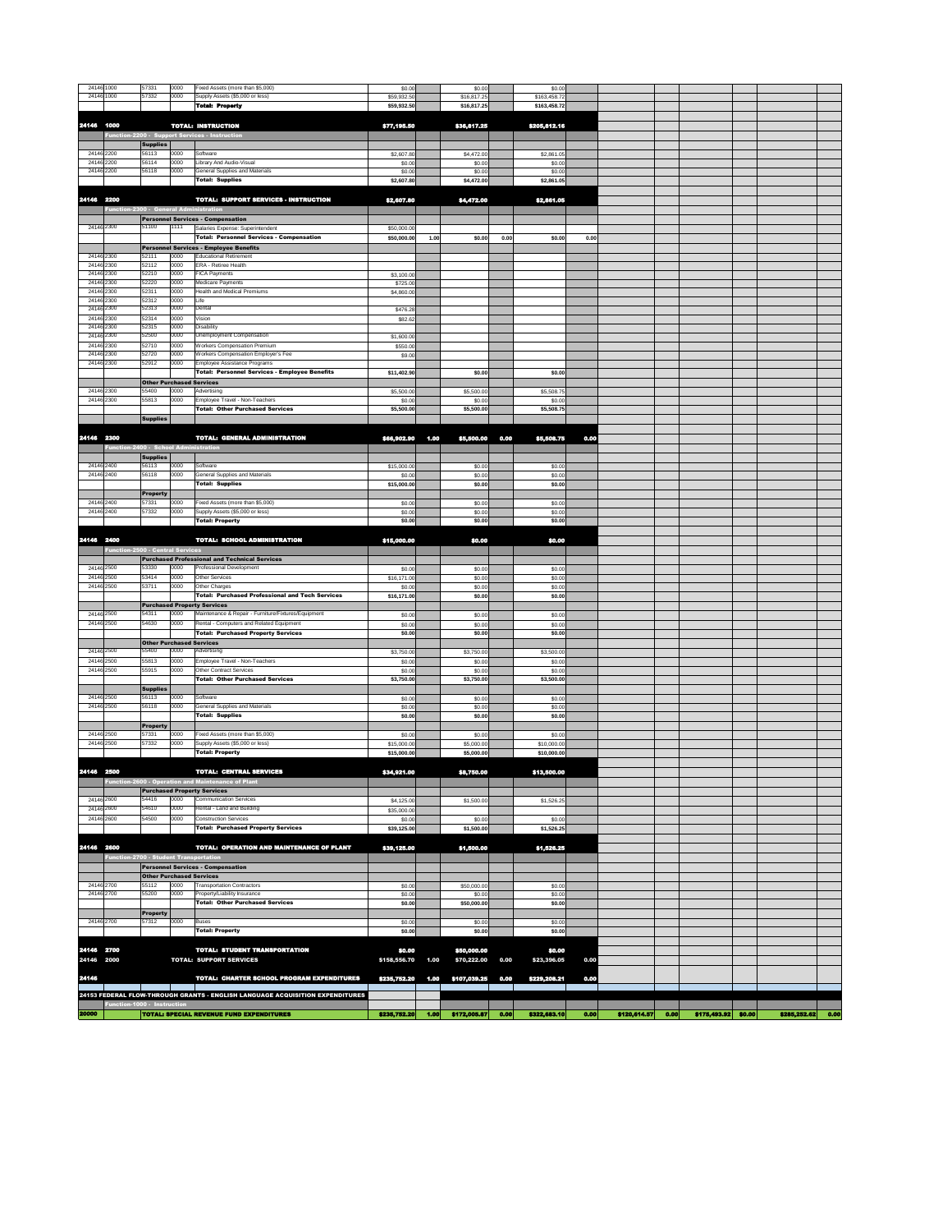| 24146 1000               |                                               | 57331                                    | 0000         | Fixed Assets (more than \$5,000)                                                      | \$0.00                |      | \$0.00               |      | \$0.00               |      |  |  |
|--------------------------|-----------------------------------------------|------------------------------------------|--------------|---------------------------------------------------------------------------------------|-----------------------|------|----------------------|------|----------------------|------|--|--|
| 24146 1000               |                                               | 57332                                    | 0000         | Supply Assets (\$5,000 or less)                                                       | \$59,932.50           |      | \$16,817.25          |      | \$163,458.72         |      |  |  |
|                          |                                               |                                          |              | <b>Total: Property</b>                                                                | \$59,932.50           |      | \$16,817.25          |      | \$163,458.72         |      |  |  |
| 24146 1000               |                                               |                                          |              | <b>TOTAL: INSTRUCTION</b>                                                             | \$77,195.50           |      | \$36,817.25          |      | \$205,812.16         |      |  |  |
|                          |                                               |                                          |              | Function-2200 - Support Services - Instruction                                        |                       |      |                      |      |                      |      |  |  |
|                          |                                               | <b>Supplies</b>                          |              |                                                                                       |                       |      |                      |      |                      |      |  |  |
| 24146 2200               |                                               | 56113                                    | 0000         | Software                                                                              | \$2,607.80            |      | \$4,472.00           |      | \$2,861.05           |      |  |  |
| 24146 2200<br>24146 2200 |                                               | 56114<br>56118                           | 0000<br>0000 | Library And Audio-Visual<br><b>General Supplies and Materials</b>                     | \$0.00<br>\$0.00      |      | \$0.00<br>\$0.00     |      | \$0.00<br>\$0.00     |      |  |  |
|                          |                                               |                                          |              | Total: Supplies                                                                       | \$2,607.80            |      | \$4,472.00           |      | \$2,861.05           |      |  |  |
|                          |                                               |                                          |              |                                                                                       |                       |      |                      |      |                      |      |  |  |
| 24146 2200               |                                               |                                          |              | <b>TOTAL: SUPPORT SERVICES - INSTRUCTION</b>                                          | \$2,607.80            |      | \$4,472.00           |      | \$2,861.05           |      |  |  |
|                          | Function-2300 - General Administration        |                                          |              |                                                                                       |                       |      |                      |      |                      |      |  |  |
| 24146 2300               |                                               | 51100                                    | 1111         | <b>Personnel Services - Compensation</b><br>Salaries Expense: Superintendent          | \$50,000.00           |      |                      |      |                      |      |  |  |
|                          |                                               |                                          |              | Total: Personnel Services - Compensation                                              | \$50,000.00           | 1.00 | \$0.00               | 0.00 | \$0.00               | 0.00 |  |  |
|                          |                                               |                                          |              | Personnel Services - Employee Benefits                                                |                       |      |                      |      |                      |      |  |  |
| 24146 2300               |                                               | 52111                                    | 0000         | <b>Educational Retirement</b>                                                         |                       |      |                      |      |                      |      |  |  |
| 24146 2300<br>24146 2300 |                                               | 52112<br>52210                           | 0000<br>0000 | <b>ERA - Retiree Health</b><br><b>FICA Payments</b>                                   | \$3,100.00            |      |                      |      |                      |      |  |  |
| 24146 2300               |                                               | 52220                                    | 0000         | <b>Medicare Payments</b>                                                              | \$725.00              |      |                      |      |                      |      |  |  |
| 24146 2300               |                                               | 52311                                    | 0000         | <b>Health and Medical Premiums</b>                                                    | \$4,860.00            |      |                      |      |                      |      |  |  |
| 24146 2300<br>24146 2300 |                                               | 52312<br>52313                           | 0000<br>0000 | Life<br>Dental                                                                        | \$476.28              |      |                      |      |                      |      |  |  |
| 24146 2300               |                                               | 52314                                    | 0000         | Vision                                                                                | \$82.62               |      |                      |      |                      |      |  |  |
| 24146 2300               |                                               | 52315                                    | 0000         | <b>Disability</b>                                                                     |                       |      |                      |      |                      |      |  |  |
| 24146 2300               |                                               | 52500                                    | 0000         | <b>Unemployment Compensation</b>                                                      | \$1,600.00            |      |                      |      |                      |      |  |  |
| 24146 2300<br>24146 2300 |                                               | 52710<br>52720                           | 0000<br>0000 | <b>Workers Compensation Premium</b><br>Workers Compensation Employer's Fee            | \$550.00<br>\$9.00    |      |                      |      |                      |      |  |  |
| 24146 2300               |                                               | 52912                                    | 0000         | Employee Assistance Programs                                                          |                       |      |                      |      |                      |      |  |  |
|                          |                                               |                                          |              | Total: Personnel Services - Employee Benefits                                         | \$11,402.90           |      | \$0.00               |      | \$0.00               |      |  |  |
|                          |                                               | <b>Other Purchased Services</b>          |              |                                                                                       |                       |      |                      |      |                      |      |  |  |
| 24146 2300<br>24146 2300 |                                               | 55400<br>55813                           | 0000<br>0000 | Advertising<br>Employee Travel - Non-Teachers                                         | \$5,500.00<br>\$0.00  |      | \$5,500.00<br>\$0.00 |      | \$5,508.75<br>\$0.00 |      |  |  |
|                          |                                               |                                          |              | <b>Total: Other Purchased Services</b>                                                | \$5,500.00            |      | \$5,500.00           |      | \$5,508.75           |      |  |  |
|                          |                                               | <b>Supplies</b>                          |              |                                                                                       |                       |      |                      |      |                      |      |  |  |
|                          |                                               |                                          |              |                                                                                       |                       |      |                      |      |                      |      |  |  |
| 24146 2300               | Function-2400 - School Administration         |                                          |              | <b>TOTAL: GENERAL ADMINISTRATION</b>                                                  | \$66,902.90           | 1.00 | \$5,500.00           | 0.00 | \$5,508.75           | 0.00 |  |  |
|                          |                                               | <b>Supplies</b>                          |              |                                                                                       |                       |      |                      |      |                      |      |  |  |
| 24146 2400               |                                               | 56113                                    | 0000         | Software                                                                              | \$15,000.00           |      | \$0.00               |      | \$0.00               |      |  |  |
| 24146 2400               |                                               | 56118                                    | 0000         | <b>General Supplies and Materials</b>                                                 | \$0.00                |      | \$0.00               |      | \$0.00               |      |  |  |
|                          |                                               | <b>Property</b>                          |              | Total: Supplies                                                                       | \$15,000.00           |      | \$0.00               |      | \$0.00               |      |  |  |
| 24146 2400               |                                               | 57331                                    | 0000         | Fixed Assets (more than \$5,000)                                                      | \$0.00                |      | \$0.00               |      | \$0.00               |      |  |  |
| 24146 2400               |                                               | 57332                                    | 0000         | Supply Assets (\$5,000 or less)                                                       | \$0.00                |      | \$0.00               |      | \$0.00               |      |  |  |
|                          |                                               |                                          |              | <b>Total: Property</b>                                                                | \$0.00                |      | \$0.00               |      | \$0.00               |      |  |  |
| 24146 2400               |                                               |                                          |              | TOTAL: SCHOOL ADMINISTRATION                                                          | \$15,000.00           |      | \$0.00               |      | \$0.00               |      |  |  |
|                          | <b>Function-2500 - Central Services</b>       |                                          |              |                                                                                       |                       |      |                      |      |                      |      |  |  |
|                          |                                               |                                          |              | <b>Purchased Professional and Technical Services</b>                                  |                       |      |                      |      |                      |      |  |  |
| 24146 2500               |                                               | 53330                                    | 0000         | <b>Professional Development</b>                                                       | \$0.00                |      | \$0.00               |      | \$0.00               |      |  |  |
| 24146 2500<br>24146 2500 |                                               | 53414<br>53711                           | 0000<br>0000 | <b>Other Services</b><br>Other Charges                                                | \$16,171.00           |      | \$0.00               |      | \$0.00               |      |  |  |
|                          |                                               |                                          |              | Total: Purchased Professional and Tech Services                                       | \$0.00<br>\$16,171.00 |      | \$0.00<br>\$0.00     |      | \$0.00<br>\$0.00     |      |  |  |
|                          |                                               |                                          |              | <b>Purchased Property Services</b>                                                    |                       |      |                      |      |                      |      |  |  |
| 24146 2500               |                                               | 54311                                    | 0000         | Maintenance & Repair - Furniture/Fixtures/Equipment                                   | \$0.00                |      | \$0.00               |      | \$0.00               |      |  |  |
| 24146 2500               |                                               | 54630                                    | 0000         | Rental - Computers and Related Equipment<br><b>Total: Purchased Property Services</b> | \$0.00<br>\$0.00      |      | \$0.00<br>\$0.00     |      | \$0.00<br>\$0.00     |      |  |  |
|                          |                                               | <b>Other Purchased Services</b>          |              |                                                                                       |                       |      |                      |      |                      |      |  |  |
| 24146 2500               |                                               | 55400                                    | 0000         | Advertising                                                                           | \$3,750.00            |      | \$3,750.00           |      | \$3,500.00           |      |  |  |
| 24146 2500               |                                               | 55813                                    | 0000         | Employee Travel - Non-Teachers                                                        | \$0.00                |      | \$0.00               |      | \$0.00               |      |  |  |
| 24146 2500               |                                               | 55915                                    | 0000         | <b>Other Contract Services</b><br><b>Total: Other Purchased Services</b>              | \$0.00<br>\$3,750.00  |      | \$0.00<br>\$3,750.00 |      | \$0.00<br>\$3,500.00 |      |  |  |
|                          |                                               | <b>Supplies</b>                          |              |                                                                                       |                       |      |                      |      |                      |      |  |  |
| 24146 2500               |                                               | 56113                                    | 0000         | Software                                                                              | \$0.00                |      | \$0.00               |      | \$0.00               |      |  |  |
| 24146 2500               |                                               | 56118                                    | 0000         | <b>General Supplies and Materials</b>                                                 | \$0.00                |      | \$0.00               |      | \$0.00               |      |  |  |
|                          |                                               | <b>Property</b>                          |              | Total: Supplies                                                                       | \$0.00                |      | \$0.00               |      | \$0.00               |      |  |  |
| 24146 2500               |                                               | 57331                                    | 0000         | Fixed Assets (more than \$5,000)                                                      | \$0.00                |      | \$0.00               |      | \$0.00               |      |  |  |
| 24146 2500               |                                               | 57332                                    | 0000         | Supply Assets (\$5,000 or less)                                                       | \$15,000.00           |      | \$5,000.00           |      | \$10,000.00          |      |  |  |
|                          |                                               |                                          |              | <b>Total: Property</b>                                                                | \$15,000.00           |      | \$5,000.00           |      | \$10,000.00          |      |  |  |
| 24146 2500               |                                               |                                          |              | <b>TOTAL: CENTRAL SERVICES</b>                                                        | \$34,921.00           |      | \$8,750.00           |      | \$13,500.00          |      |  |  |
|                          |                                               |                                          |              | Function-2600 - Operation and Maintenance of Plant                                    |                       |      |                      |      |                      |      |  |  |
|                          |                                               |                                          |              | <b>Purchased Property Services</b>                                                    |                       |      |                      |      |                      |      |  |  |
| 24146 2600               |                                               | 54416<br>54610                           | 0000<br>0000 | <b>Communication Services</b><br>Rental - Land and Building                           | \$4,125.00            |      | \$1,500.00           |      | \$1,526.25           |      |  |  |
| 24146 2600<br>24146 2600 |                                               | 54500                                    | 0000         | <b>Construction Services</b>                                                          | \$35,000.00<br>\$0.00 |      | \$0.00               |      | \$0.00               |      |  |  |
|                          |                                               |                                          |              | <b>Total: Purchased Property Services</b>                                             | \$39,125.00           |      | \$1,500.00           |      | \$1,526.25           |      |  |  |
|                          |                                               |                                          |              |                                                                                       |                       |      |                      |      |                      |      |  |  |
|                          |                                               |                                          |              |                                                                                       |                       |      |                      |      |                      |      |  |  |
|                          |                                               |                                          |              | <b>TOTAL: OPERATION AND MAINTENANCE OF PLANT</b>                                      | \$39,125.00           |      | \$1,500.00           |      | \$1,526.25           |      |  |  |
|                          | <b>Function-2700 - Student Transportation</b> |                                          |              |                                                                                       |                       |      |                      |      |                      |      |  |  |
|                          |                                               |                                          |              | <b>Personnel Services - Compensation</b>                                              |                       |      |                      |      |                      |      |  |  |
| 24146 2600<br>24146 2700 |                                               | <b>Other Purchased Services</b><br>55112 | 0000         | <b>Transportation Contractors</b>                                                     | \$0.00                |      | \$50,000.00          |      | \$0.00               |      |  |  |
| 24146 2700               |                                               | 55200                                    | 0000         | Property/Liability Insurance                                                          | \$0.00                |      | \$0.00               |      | \$0.00               |      |  |  |
|                          |                                               |                                          |              | <b>Total: Other Purchased Services</b>                                                | \$0.00                |      | \$50,000.00          |      | \$0.00               |      |  |  |
| 24146 2700               |                                               | <b>Property</b><br>57312                 | 0000         | <b>Buses</b>                                                                          | \$0.00                |      | \$0.00               |      | \$0.00               |      |  |  |
|                          |                                               |                                          |              | Total: Property                                                                       | \$0.00                |      | \$0.00               |      | \$0.00               |      |  |  |
|                          |                                               |                                          |              |                                                                                       |                       |      |                      |      |                      |      |  |  |
| 24146 2700               |                                               |                                          |              | <b>TOTAL: STUDENT TRANSPORTATION</b>                                                  | \$0.00                |      | \$50,000.00          |      | \$0.00               |      |  |  |
| 24146 2000               |                                               |                                          |              | TOTAL: SUPPORT SERVICES                                                               | \$158,556.70          | 1.00 | \$70,222.00          | 0.00 | \$23,396.05          | 0.00 |  |  |
| 24146                    |                                               |                                          |              | <b>TOTAL: CHARTER SCHOOL PROGRAM EXPENDITURES</b>                                     | \$235,752.20          | 1.00 | \$107,039.25         | 0.00 | \$229,208.21         | 0.00 |  |  |
|                          |                                               |                                          |              |                                                                                       |                       |      |                      |      |                      |      |  |  |
|                          | Function-1000 - Instruction                   |                                          |              | 24153 FEDERAL FLOW-THROUGH GRANTS - ENGLISH LANGUAGE ACQUISITION EXPENDITURES         |                       |      |                      |      |                      |      |  |  |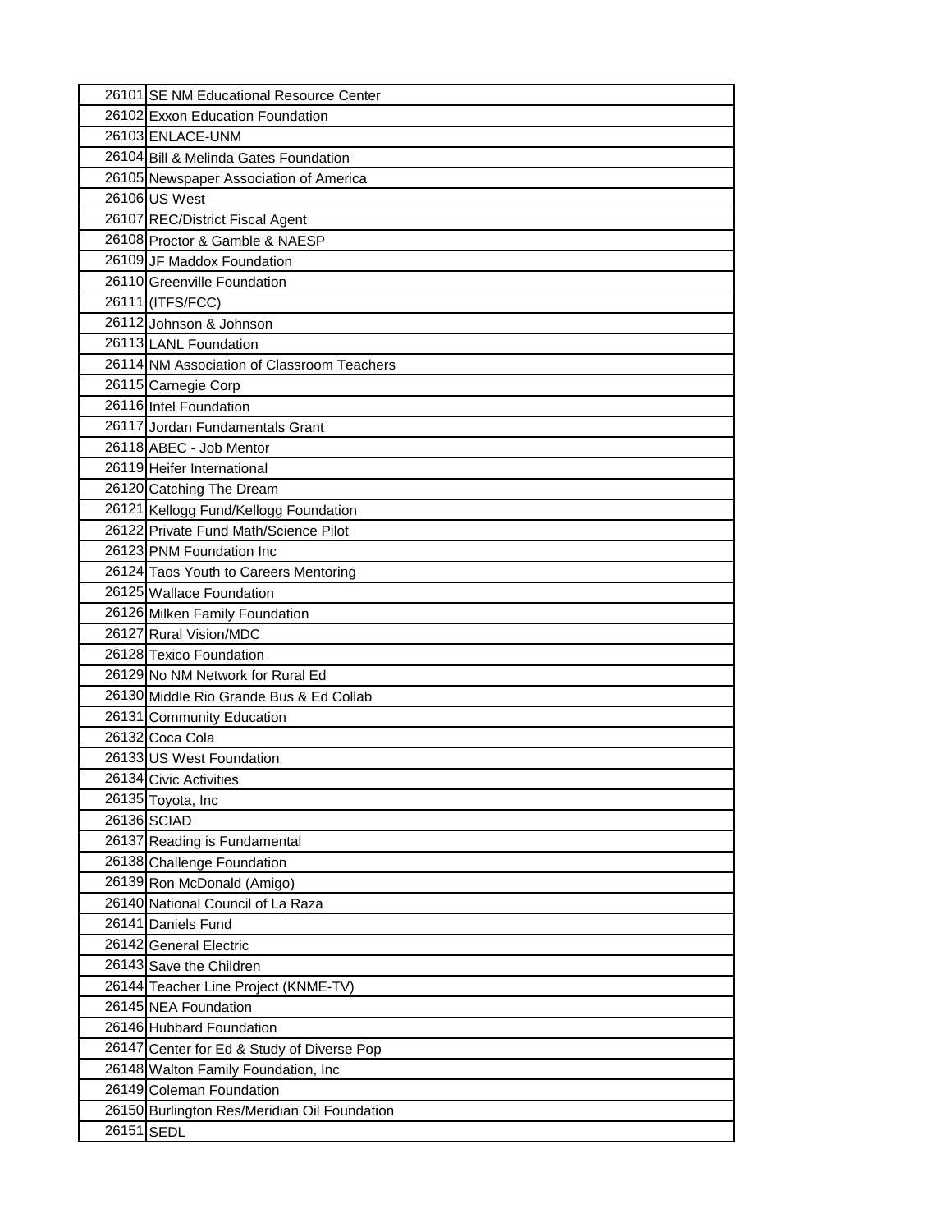|            | 26101 SE NM Educational Resource Center      |
|------------|----------------------------------------------|
|            | 26102 Exxon Education Foundation             |
|            | 26103 ENLACE-UNM                             |
|            | 26104 Bill & Melinda Gates Foundation        |
|            | 26105 Newspaper Association of America       |
|            | 26106 US West                                |
|            | 26107 REC/District Fiscal Agent              |
|            | 26108 Proctor & Gamble & NAESP               |
|            | 26109 JF Maddox Foundation                   |
|            | 26110 Greenville Foundation                  |
|            | 26111 (ITFS/FCC)                             |
|            | 26112 Johnson & Johnson                      |
|            | 26113 LANL Foundation                        |
|            | 26114 NM Association of Classroom Teachers   |
|            | 26115 Carnegie Corp                          |
|            | 26116 Intel Foundation                       |
|            | 26117 Jordan Fundamentals Grant              |
|            | 26118 ABEC - Job Mentor                      |
|            | 26119 Heifer International                   |
|            | 26120 Catching The Dream                     |
|            | 26121 Kellogg Fund/Kellogg Foundation        |
|            | 26122 Private Fund Math/Science Pilot        |
|            | 26123 PNM Foundation Inc                     |
|            | 26124 Taos Youth to Careers Mentoring        |
|            | 26125 Wallace Foundation                     |
|            | 26126 Milken Family Foundation               |
|            | 26127 Rural Vision/MDC                       |
|            | 26128 Texico Foundation                      |
|            | 26129 No NM Network for Rural Ed             |
|            | 26130 Middle Rio Grande Bus & Ed Collab      |
|            | 26131 Community Education                    |
|            | 26132 Coca Cola                              |
|            | 26133 US West Foundation                     |
|            | 26134 Civic Activities                       |
|            | 26135 Toyota, Inc                            |
|            | 26136 SCIAD                                  |
|            | 26137 Reading is Fundamental                 |
|            | 26138 Challenge Foundation                   |
|            | 26139 Ron McDonald (Amigo)                   |
|            | 26140 National Council of La Raza            |
|            | 26141 Daniels Fund                           |
|            | 26142 General Electric                       |
|            | 26143 Save the Children                      |
|            | 26144 Teacher Line Project (KNME-TV)         |
|            | 26145 NEA Foundation                         |
|            | 26146 Hubbard Foundation                     |
|            | 26147 Center for Ed & Study of Diverse Pop   |
|            | 26148 Walton Family Foundation, Inc          |
|            | 26149 Coleman Foundation                     |
|            | 26150 Burlington Res/Meridian Oil Foundation |
| 26151 SEDL |                                              |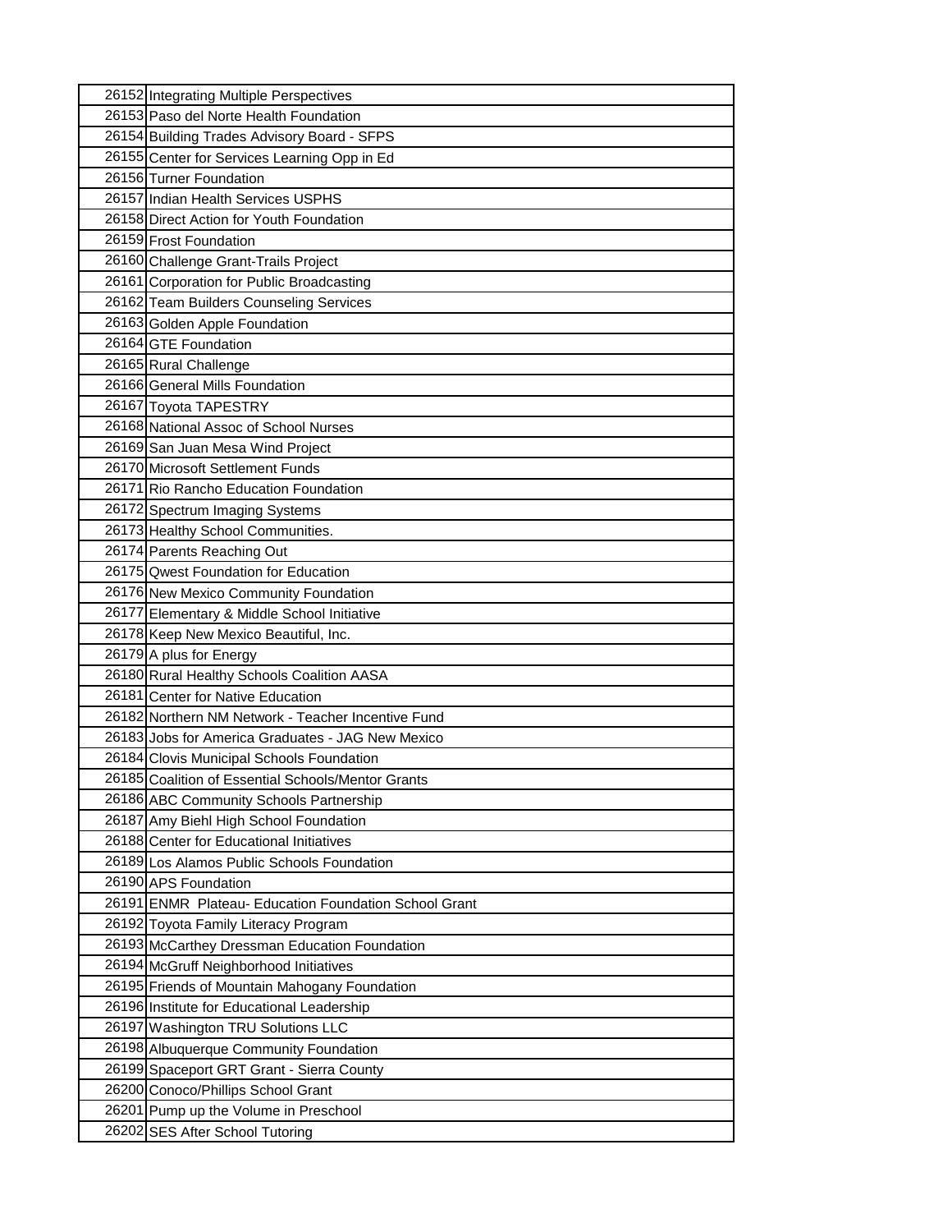| 26152 Integrating Multiple Perspectives               |  |
|-------------------------------------------------------|--|
| 26153 Paso del Norte Health Foundation                |  |
| 26154 Building Trades Advisory Board - SFPS           |  |
| 26155 Center for Services Learning Opp in Ed          |  |
| 26156 Turner Foundation                               |  |
| 26157 Indian Health Services USPHS                    |  |
| 26158 Direct Action for Youth Foundation              |  |
| 26159 Frost Foundation                                |  |
| 26160 Challenge Grant-Trails Project                  |  |
| 26161 Corporation for Public Broadcasting             |  |
| 26162 Team Builders Counseling Services               |  |
| 26163 Golden Apple Foundation                         |  |
| 26164 GTE Foundation                                  |  |
| 26165 Rural Challenge                                 |  |
| 26166 General Mills Foundation                        |  |
| 26167 Toyota TAPESTRY                                 |  |
| 26168 National Assoc of School Nurses                 |  |
| 26169 San Juan Mesa Wind Project                      |  |
| 26170 Microsoft Settlement Funds                      |  |
| 26171 Rio Rancho Education Foundation                 |  |
| 26172 Spectrum Imaging Systems                        |  |
| 26173 Healthy School Communities.                     |  |
| 26174 Parents Reaching Out                            |  |
| 26175 Qwest Foundation for Education                  |  |
| 26176 New Mexico Community Foundation                 |  |
| 26177 Elementary & Middle School Initiative           |  |
| 26178 Keep New Mexico Beautiful, Inc.                 |  |
| 26179 A plus for Energy                               |  |
| 26180 Rural Healthy Schools Coalition AASA            |  |
| 26181 Center for Native Education                     |  |
| 26182 Northern NM Network - Teacher Incentive Fund    |  |
| 26183 Jobs for America Graduates - JAG New Mexico     |  |
| 26184 Clovis Municipal Schools Foundation             |  |
| 26185 Coalition of Essential Schools/Mentor Grants    |  |
| 26186 ABC Community Schools Partnership               |  |
| 26187 Amy Biehl High School Foundation                |  |
| 26188 Center for Educational Initiatives              |  |
| 26189 Los Alamos Public Schools Foundation            |  |
| 26190 APS Foundation                                  |  |
| 26191 ENMR Plateau- Education Foundation School Grant |  |
| 26192 Toyota Family Literacy Program                  |  |
| 26193 McCarthey Dressman Education Foundation         |  |
| 26194 McGruff Neighborhood Initiatives                |  |
| 26195 Friends of Mountain Mahogany Foundation         |  |
| 26196 Institute for Educational Leadership            |  |
| 26197 Washington TRU Solutions LLC                    |  |
| 26198 Albuquerque Community Foundation                |  |
| 26199 Spaceport GRT Grant - Sierra County             |  |
| 26200 Conoco/Phillips School Grant                    |  |
| 26201 Pump up the Volume in Preschool                 |  |
| 26202 SES After School Tutoring                       |  |